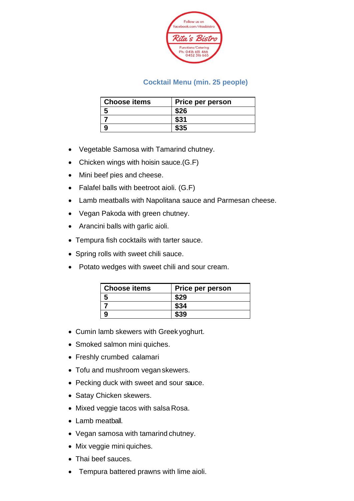

#### **Cocktail Menu (min. 25 people)**

| <b>Choose items</b> | <b>Price per person</b> |
|---------------------|-------------------------|
|                     | \$26                    |
|                     |                         |
|                     |                         |

- Vegetable Samosa with Tamarind chutney.
- Chicken wings with hoisin sauce.(G.F)
- Mini beef pies and cheese.
- Falafel balls with beetroot aioli. (G.F)
- Lamb meatballs with Napolitana sauce and Parmesan cheese.
- Vegan Pakoda with green chutney.
- Arancini balls with garlic aioli.
- Tempura fish cocktails with tarter sauce.
- Spring rolls with sweet chili sauce.
- Potato wedges with sweet chili and sour cream.

| <b>Choose items</b> | <b>Price per person</b> |
|---------------------|-------------------------|
|                     |                         |
|                     |                         |
|                     |                         |

- Cumin lamb skewers with Greek yoghurt.
- Smoked salmon mini quiches.
- Freshly crumbed calamari
- Tofu and mushroom vegan skewers.
- Pecking duck with sweet and sour sauce.
- Satay Chicken skewers.
- Mixed veggie tacos with salsa Rosa.
- Lamb meatball.
- Vegan samosa with tamarind chutney.
- Mix veggie mini quiches.
- Thai beef sauces.
- Tempura battered prawns with lime aioli.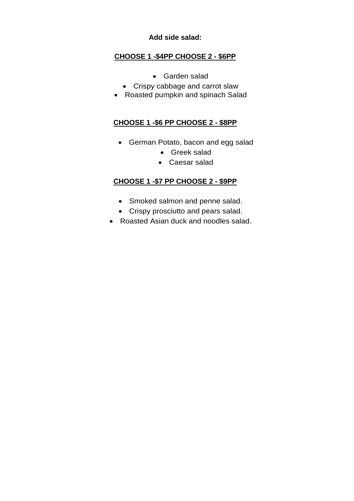#### **Add side salad:**

### **CHOOSE 1 -\$4PP CHOOSE 2 - \$6PP**

- Garden salad
- Crispy cabbage and carrot slaw
- Roasted pumpkin and spinach Salad

#### **CHOOSE 1 -\$6 PP CHOOSE 2 - \$8PP**

- German Potato, bacon and egg salad
	- Greek salad
	- Caesar salad

### **CHOOSE 1 -\$7 PP CHOOSE 2 - \$9PP**

- Smoked salmon and penne salad.
- Crispy prosciutto and pears salad.
- Roasted Asian duck and noodles salad.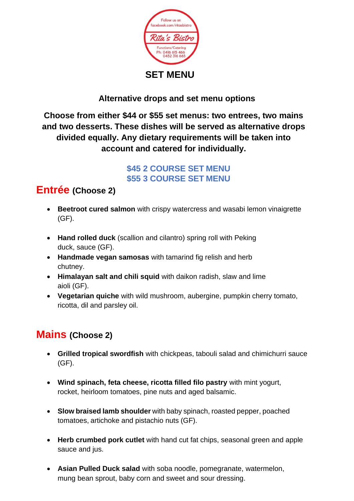

### **Alternative drops and set menu options**

**Choose from either \$44 or \$55 set menus: two entrees, two mains and two desserts. These dishes will be served as alternative drops divided equally. Any dietary requirements will be taken into account and catered for individually.**

> **\$45 2 COURSE SET MENU \$55 3 COURSE SET MENU**

## **Entrée (Choose 2)**

- **Beetroot cured salmon** with crispy watercress and wasabi lemon vinaigrette (GF).
- **Hand rolled duck** (scallion and cilantro) spring roll with Peking duck, sauce (GF).
- **Handmade vegan samosas** with tamarind fig relish and herb chutney.
- **Himalayan salt and chili squid** with daikon radish, slaw and lime aioli (GF).
- **Vegetarian quiche** with wild mushroom, aubergine, pumpkin cherry tomato, ricotta, dil and parsley oil.

## **Mains (Choose 2)**

- **Grilled tropical swordfish** with chickpeas, tabouli salad and chimichurri sauce (GF).
- **Wind spinach, feta cheese, ricotta filled filo pastry** with mint yogurt, rocket, heirloom tomatoes, pine nuts and aged balsamic.
- **Slow braised lamb shoulder** with baby spinach, roasted pepper, poached tomatoes, artichoke and pistachio nuts (GF).
- **Herb crumbed pork cutlet** with hand cut fat chips, seasonal green and apple sauce and jus.
- **Asian Pulled Duck salad** with soba noodle, pomegranate, watermelon, mung bean sprout, baby corn and sweet and sour dressing.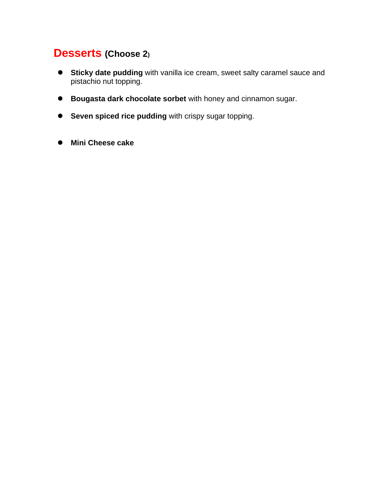## **Desserts (Choose 2)**

- ⚫ **Sticky date pudding** with vanilla ice cream, sweet salty caramel sauce and pistachio nut topping.
- ⚫ **Bougasta dark chocolate sorbet** with honey and cinnamon sugar.
- ⚫ **Seven spiced rice pudding** with crispy sugar topping.
- ⚫ **Mini Cheese cake**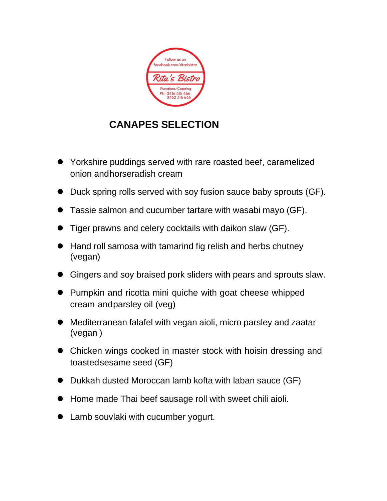

# **CANAPES SELECTION**

- ⚫ Yorkshire puddings served with rare roasted beef, caramelized onion andhorseradish cream
- Duck spring rolls served with soy fusion sauce baby sprouts (GF).
- ⚫ Tassie salmon and cucumber tartare with wasabi mayo (GF).
- Tiger prawns and celery cocktails with daikon slaw (GF).
- Hand roll samosa with tamarind fig relish and herbs chutney (vegan)
- ⚫ Gingers and soy braised pork sliders with pears and sprouts slaw.
- Pumpkin and ricotta mini quiche with goat cheese whipped cream andparsley oil (veg)
- Mediterranean falafel with vegan aioli, micro parsley and zaatar (vegan )
- Chicken wings cooked in master stock with hoisin dressing and toastedsesame seed (GF)
- Dukkah dusted Moroccan lamb kofta with laban sauce (GF)
- ⚫ Home made Thai beef sausage roll with sweet chili aioli.
- Lamb souvlaki with cucumber yogurt.